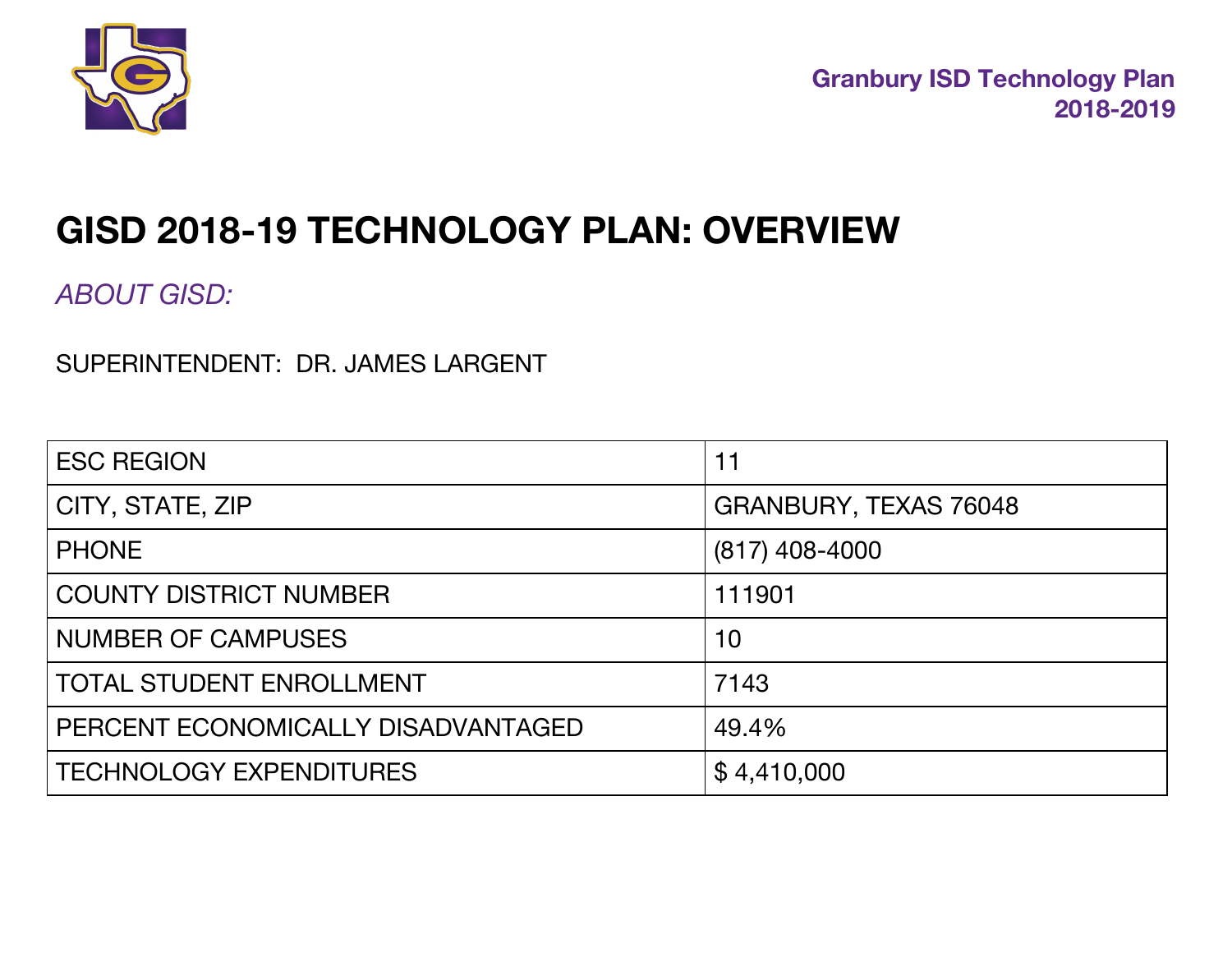

# **GISD 2018-19 TECHNOLOGY PLAN: OVERVIEW**

*ABOUT GISD:*

SUPERINTENDENT: DR. JAMES LARGENT

| <b>ESC REGION</b>                  | $11$                  |
|------------------------------------|-----------------------|
| CITY, STATE, ZIP                   | GRANBURY, TEXAS 76048 |
| <b>PHONE</b>                       | $(817)$ 408-4000      |
| <b>COUNTY DISTRICT NUMBER</b>      | 111901                |
| <b>NUMBER OF CAMPUSES</b>          | 10                    |
| <b>TOTAL STUDENT ENROLLMENT</b>    | 7143                  |
| PERCENT ECONOMICALLY DISADVANTAGED | 49.4%                 |
| <b>TECHNOLOGY EXPENDITURES</b>     | \$4,410,000           |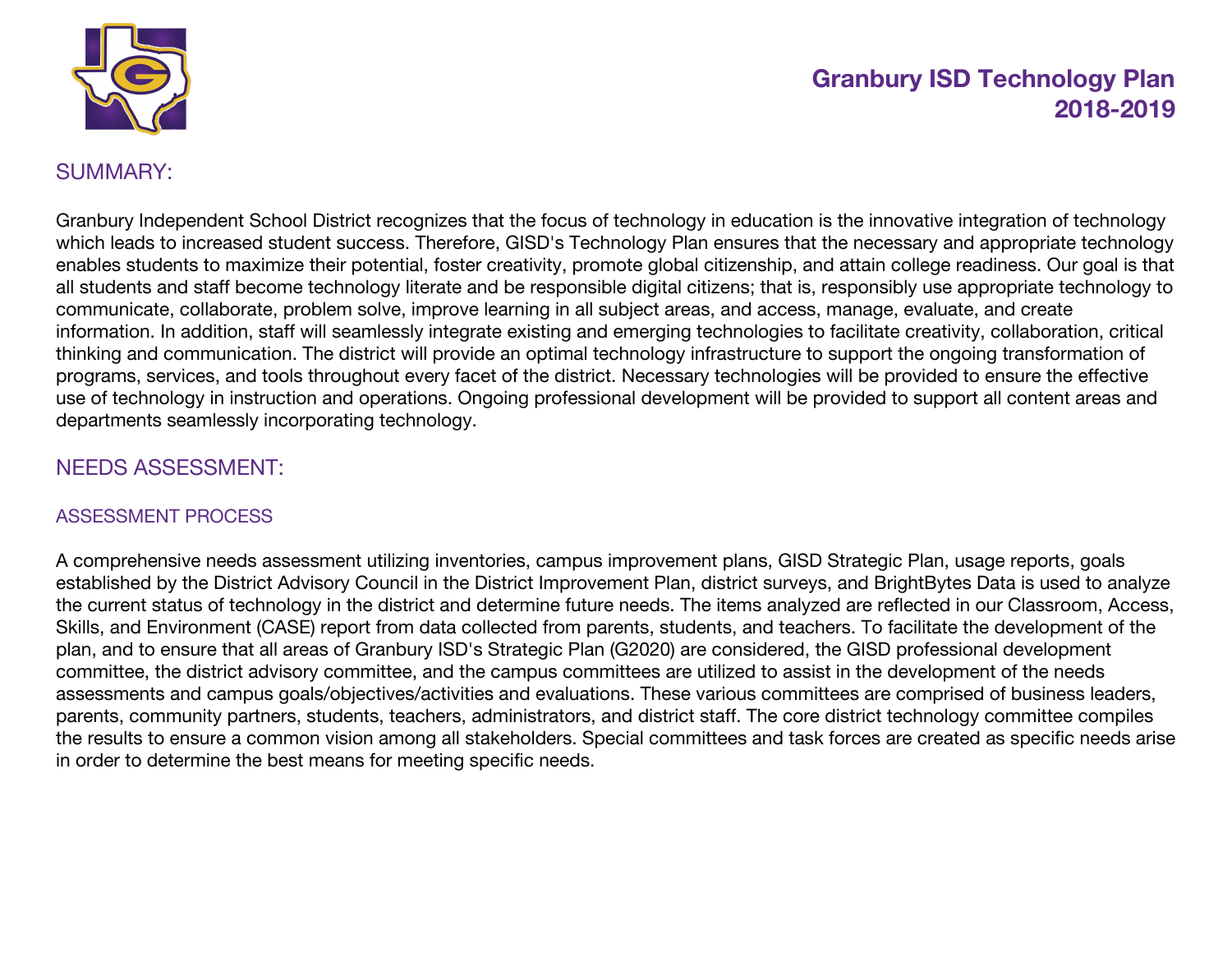

#### SUMMARY:

Granbury Independent School District recognizes that the focus of technology in education is the innovative integration of technology which leads to increased student success. Therefore, GISD's Technology Plan ensures that the necessary and appropriate technology enables students to maximize their potential, foster creativity, promote global citizenship, and attain college readiness. Our goal is that all students and staff become technology literate and be responsible digital citizens; that is, responsibly use appropriate technology to communicate, collaborate, problem solve, improve learning in all subject areas, and access, manage, evaluate, and create information. In addition, staff will seamlessly integrate existing and emerging technologies to facilitate creativity, collaboration, critical thinking and communication. The district will provide an optimal technology infrastructure to support the ongoing transformation of programs, services, and tools throughout every facet of the district. Necessary technologies will be provided to ensure the effective use of technology in instruction and operations. Ongoing professional development will be provided to support all content areas and departments seamlessly incorporating technology.

### NEEDS ASSESSMENT:

#### ASSESSMENT PROCESS

A comprehensive needs assessment utilizing inventories, campus improvement plans, GISD Strategic Plan, usage reports, goals established by the District Advisory Council in the District Improvement Plan, district surveys, and BrightBytes Data is used to analyze the current status of technology in the district and determine future needs. The items analyzed are reflected in our Classroom, Access, Skills, and Environment (CASE) report from data collected from parents, students, and teachers. To facilitate the development of the plan, and to ensure that all areas of Granbury ISD's Strategic Plan (G2020) are considered, the GISD professional development committee, the district advisory committee, and the campus committees are utilized to assist in the development of the needs assessments and campus goals/objectives/activities and evaluations. These various committees are comprised of business leaders, parents, community partners, students, teachers, administrators, and district staff. The core district technology committee compiles the results to ensure a common vision among all stakeholders. Special committees and task forces are created as specific needs arise in order to determine the best means for meeting specific needs.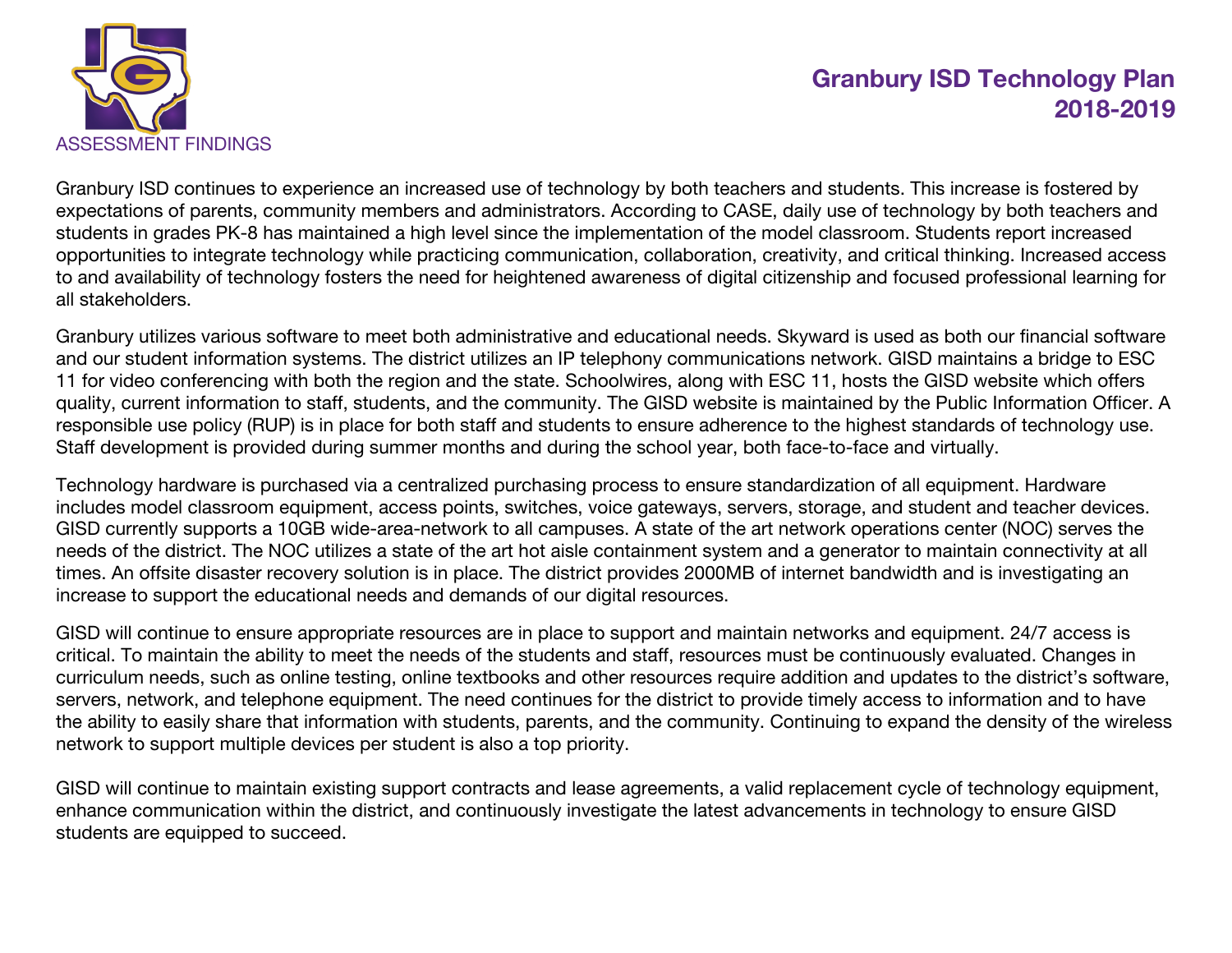

Granbury ISD continues to experience an increased use of technology by both teachers and students. This increase is fostered by expectations of parents, community members and administrators. According to CASE, daily use of technology by both teachers and students in grades PK-8 has maintained a high level since the implementation of the model classroom. Students report increased opportunities to integrate technology while practicing communication, collaboration, creativity, and critical thinking. Increased access to and availability of technology fosters the need for heightened awareness of digital citizenship and focused professional learning for all stakeholders.

Granbury utilizes various software to meet both administrative and educational needs. Skyward is used as both our financial software and our student information systems. The district utilizes an IP telephony communications network. GISD maintains a bridge to ESC 11 for video conferencing with both the region and the state. Schoolwires, along with ESC 11, hosts the GISD website which offers quality, current information to staff, students, and the community. The GISD website is maintained by the Public Information Officer. A responsible use policy (RUP) is in place for both staff and students to ensure adherence to the highest standards of technology use. Staff development is provided during summer months and during the school year, both face-to-face and virtually.

Technology hardware is purchased via a centralized purchasing process to ensure standardization of all equipment. Hardware includes model classroom equipment, access points, switches, voice gateways, servers, storage, and student and teacher devices. GISD currently supports a 10GB wide-area-network to all campuses. A state of the art network operations center (NOC) serves the needs of the district. The NOC utilizes a state of the art hot aisle containment system and a generator to maintain connectivity at all times. An offsite disaster recovery solution is in place. The district provides 2000MB of internet bandwidth and is investigating an increase to support the educational needs and demands of our digital resources.

GISD will continue to ensure appropriate resources are in place to support and maintain networks and equipment. 24/7 access is critical. To maintain the ability to meet the needs of the students and staff, resources must be continuously evaluated. Changes in curriculum needs, such as online testing, online textbooks and other resources require addition and updates to the district's software, servers, network, and telephone equipment. The need continues for the district to provide timely access to information and to have the ability to easily share that information with students, parents, and the community. Continuing to expand the density of the wireless network to support multiple devices per student is also a top priority.

GISD will continue to maintain existing support contracts and lease agreements, a valid replacement cycle of technology equipment, enhance communication within the district, and continuously investigate the latest advancements in technology to ensure GISD students are equipped to succeed.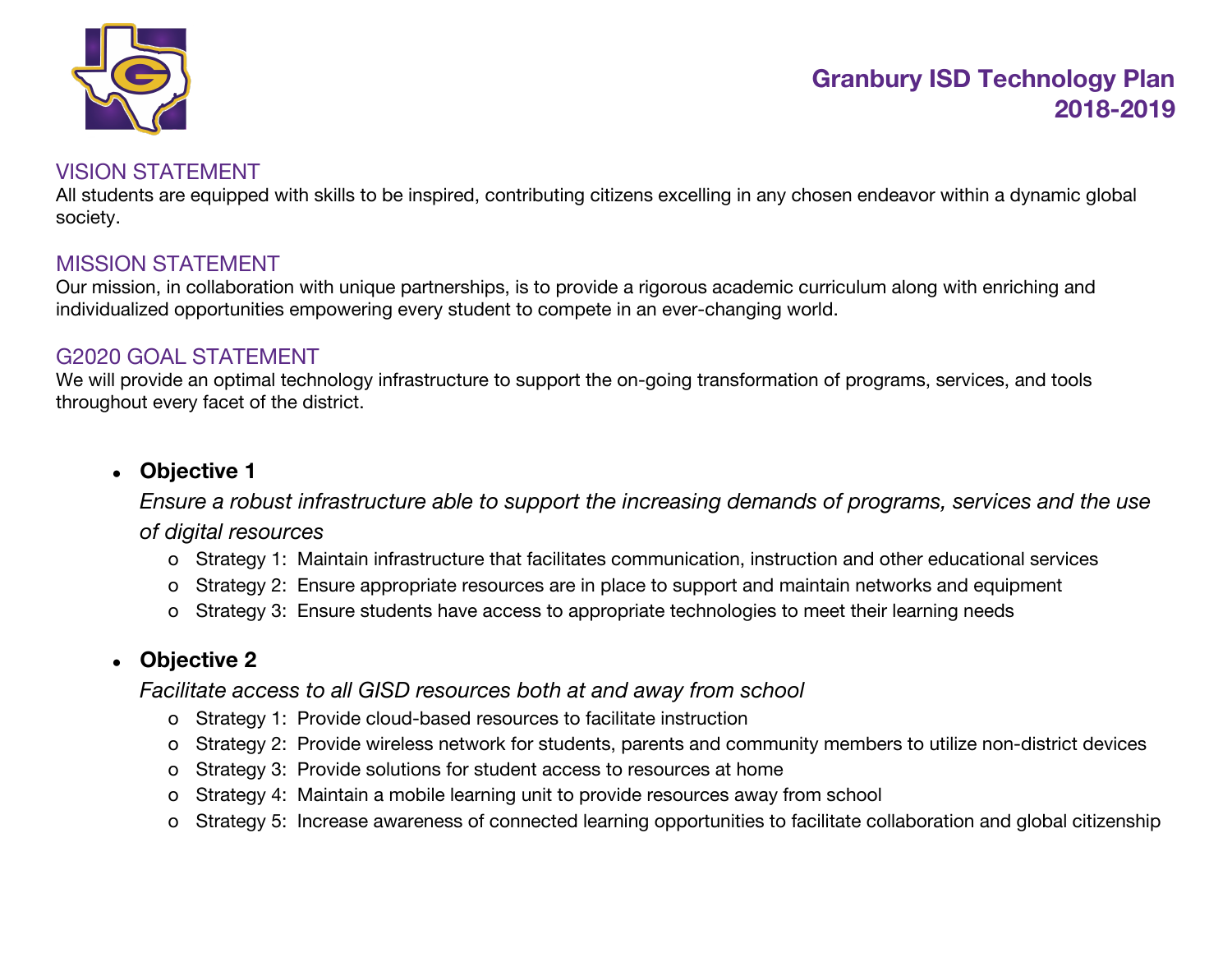

### VISION STATEMENT

All students are equipped with skills to be inspired, contributing citizens excelling in any chosen endeavor within a dynamic global society.

### MISSION STATEMENT

Our mission, in collaboration with unique partnerships, is to provide a rigorous academic curriculum along with enriching and individualized opportunities empowering every student to compete in an ever-changing world.

#### G2020 GOAL STATEMENT

We will provide an optimal technology infrastructure to support the on-going transformation of programs, services, and tools throughout every facet of the district.

### ● **Objective 1**

*Ensure a robust infrastructure able to support the increasing demands of programs, services and the use of digital resources*

- o Strategy 1: Maintain infrastructure that facilitates communication, instruction and other educational services
- o Strategy 2: Ensure appropriate resources are in place to support and maintain networks and equipment
- o Strategy 3: Ensure students have access to appropriate technologies to meet their learning needs

### ● **Objective 2**

*Facilitate access to all GISD resources both at and away from school*

- o Strategy 1: Provide cloud-based resources to facilitate instruction
- o Strategy 2: Provide wireless network for students, parents and community members to utilize non-district devices
- o Strategy 3: Provide solutions for student access to resources at home
- o Strategy 4: Maintain a mobile learning unit to provide resources away from school
- o Strategy 5: Increase awareness of connected learning opportunities to facilitate collaboration and global citizenship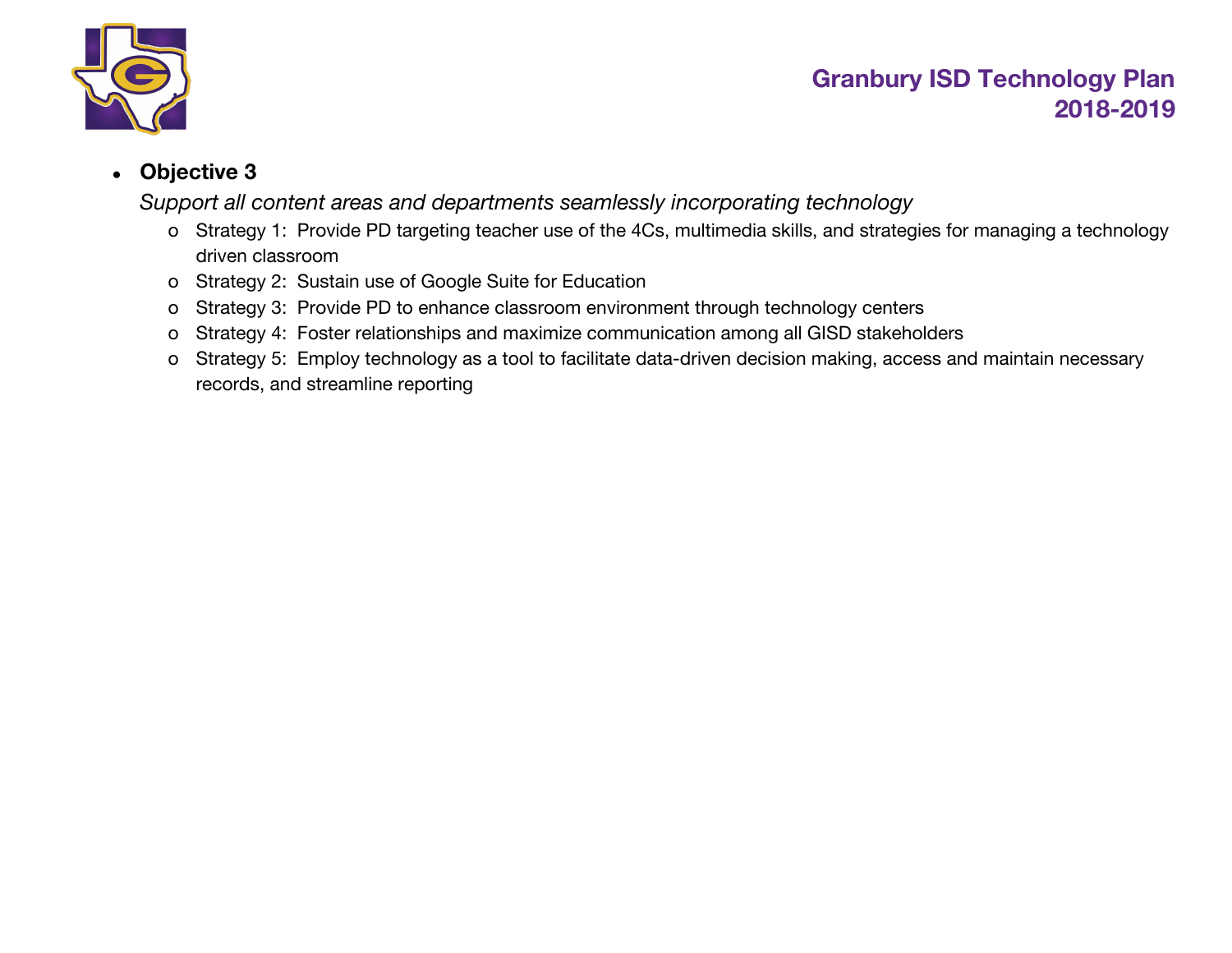

### ● **Objective 3**

*Support all content areas and departments seamlessly incorporating technology*

- o Strategy 1: Provide PD targeting teacher use of the 4Cs, multimedia skills, and strategies for managing a technology driven classroom
- o Strategy 2: Sustain use of Google Suite for Education
- o Strategy 3: Provide PD to enhance classroom environment through technology centers
- o Strategy 4: Foster relationships and maximize communication among all GISD stakeholders
- o Strategy 5: Employ technology as a tool to facilitate data-driven decision making, access and maintain necessary records, and streamline reporting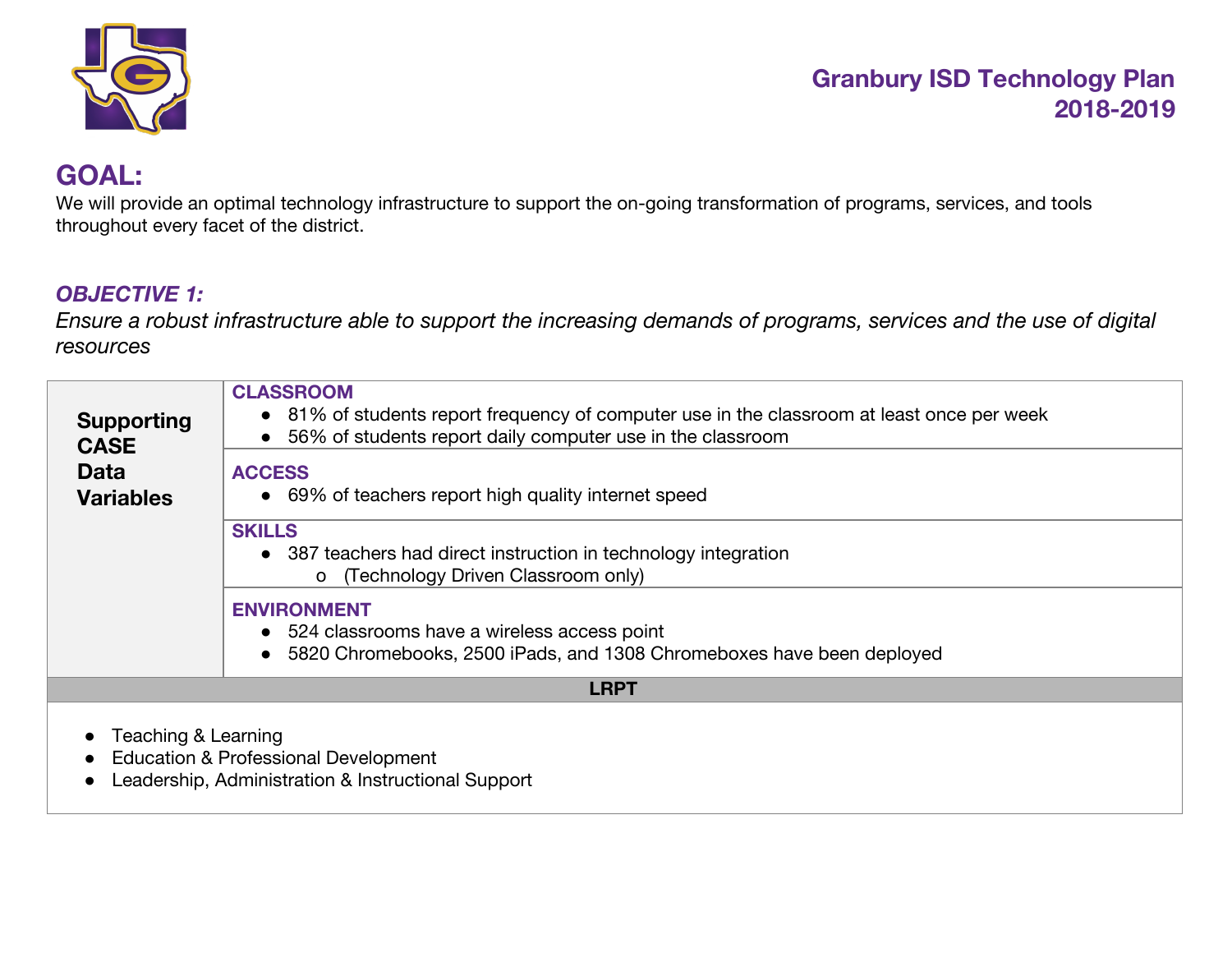

# **GOAL:**

We will provide an optimal technology infrastructure to support the on-going transformation of programs, services, and tools throughout every facet of the district.

### *OBJECTIVE 1:*

Ensure a robust infrastructure able to support the increasing demands of programs, services and the use of digital *resources*

| <b>Supporting</b><br><b>CASE</b><br><b>Data</b><br><b>Variables</b> | <b>CLASSROOM</b><br>• 81% of students report frequency of computer use in the classroom at least once per week<br>56% of students report daily computer use in the classroom<br><b>ACCESS</b><br>• 69% of teachers report high quality internet speed<br><b>SKILLS</b><br>• 387 teachers had direct instruction in technology integration<br>o (Technology Driven Classroom only)<br><b>ENVIRONMENT</b> |  |
|---------------------------------------------------------------------|---------------------------------------------------------------------------------------------------------------------------------------------------------------------------------------------------------------------------------------------------------------------------------------------------------------------------------------------------------------------------------------------------------|--|
|                                                                     | • 524 classrooms have a wireless access point<br>5820 Chromebooks, 2500 iPads, and 1308 Chromeboxes have been deployed                                                                                                                                                                                                                                                                                  |  |
|                                                                     | <b>LRPT</b>                                                                                                                                                                                                                                                                                                                                                                                             |  |
| Teaching & Learning                                                 | Education & Professional Development<br>Leadership, Administration & Instructional Support                                                                                                                                                                                                                                                                                                              |  |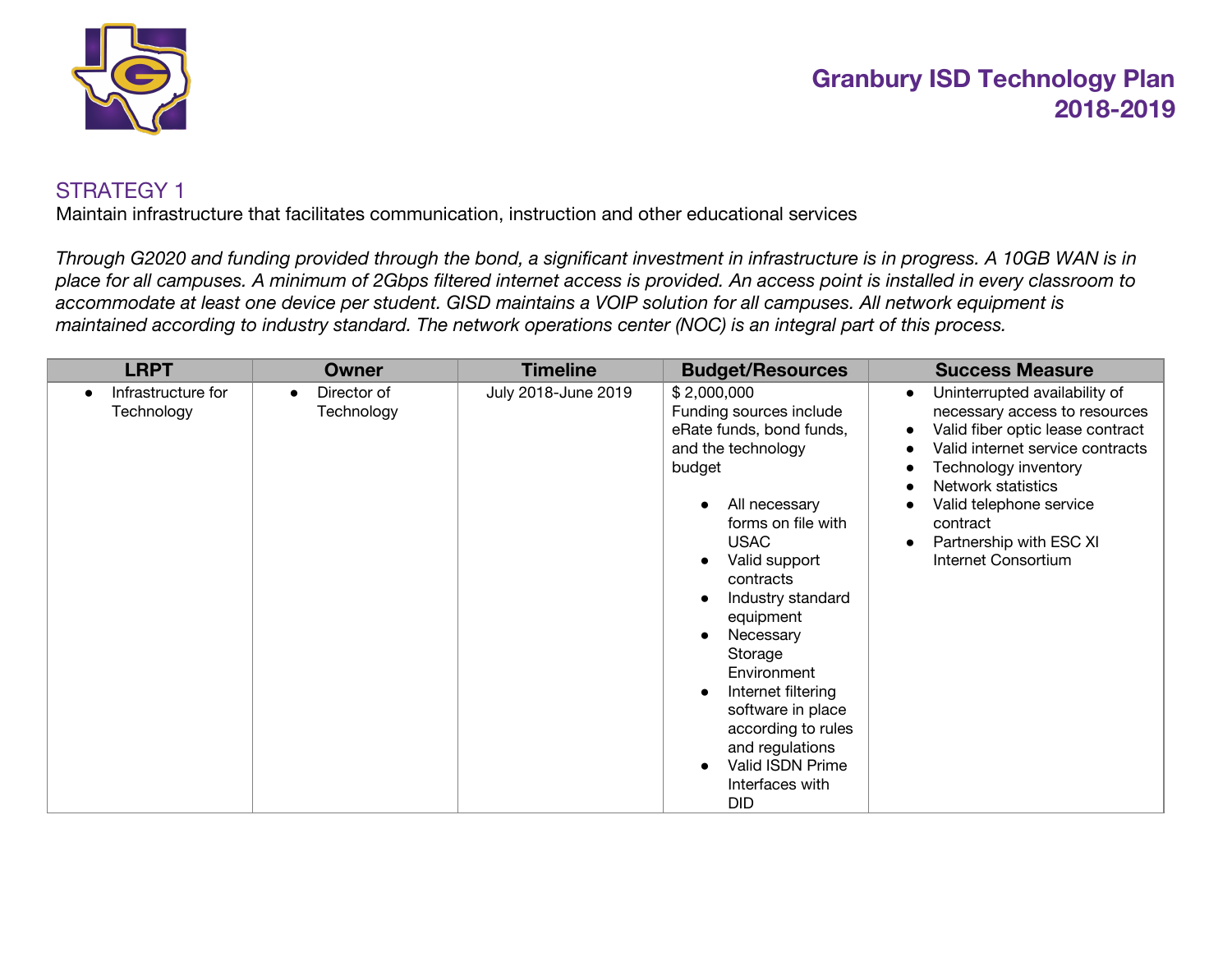

#### STRATEGY 1

Maintain infrastructure that facilitates communication, instruction and other educational services

Through G2020 and funding provided through the bond, a significant investment in infrastructure is in progress. A 10GB WAN is in place for all campuses. A minimum of 2Gbps filtered internet access is provided. An access point is installed in every classroom to accommodate at least one device per student. GISD maintains a VOIP solution for all campuses. All network equipment is maintained according to industry standard. The network operations center (NOC) is an integral part of this process.

| <b>LRPT</b>                      | Owner                                  | <b>Timeline</b>     | <b>Budget/Resources</b>                                                                                                                                                                                                                                                                                                                                                                                  | <b>Success Measure</b>                                                                                                                                                                                                                                                                                               |
|----------------------------------|----------------------------------------|---------------------|----------------------------------------------------------------------------------------------------------------------------------------------------------------------------------------------------------------------------------------------------------------------------------------------------------------------------------------------------------------------------------------------------------|----------------------------------------------------------------------------------------------------------------------------------------------------------------------------------------------------------------------------------------------------------------------------------------------------------------------|
| Infrastructure for<br>Technology | Director of<br>$\bullet$<br>Technology | July 2018-June 2019 | \$2,000,000<br>Funding sources include<br>eRate funds, bond funds,<br>and the technology<br>budget<br>All necessary<br>forms on file with<br><b>USAC</b><br>Valid support<br>contracts<br>Industry standard<br>equipment<br>Necessary<br>Storage<br>Environment<br>Internet filtering<br>software in place<br>according to rules<br>and regulations<br>Valid ISDN Prime<br>Interfaces with<br><b>DID</b> | Uninterrupted availability of<br>$\bullet$<br>necessary access to resources<br>Valid fiber optic lease contract<br>$\bullet$<br>Valid internet service contracts<br>Technology inventory<br>Network statistics<br>Valid telephone service<br>contract<br>Partnership with ESC XI<br>$\bullet$<br>Internet Consortium |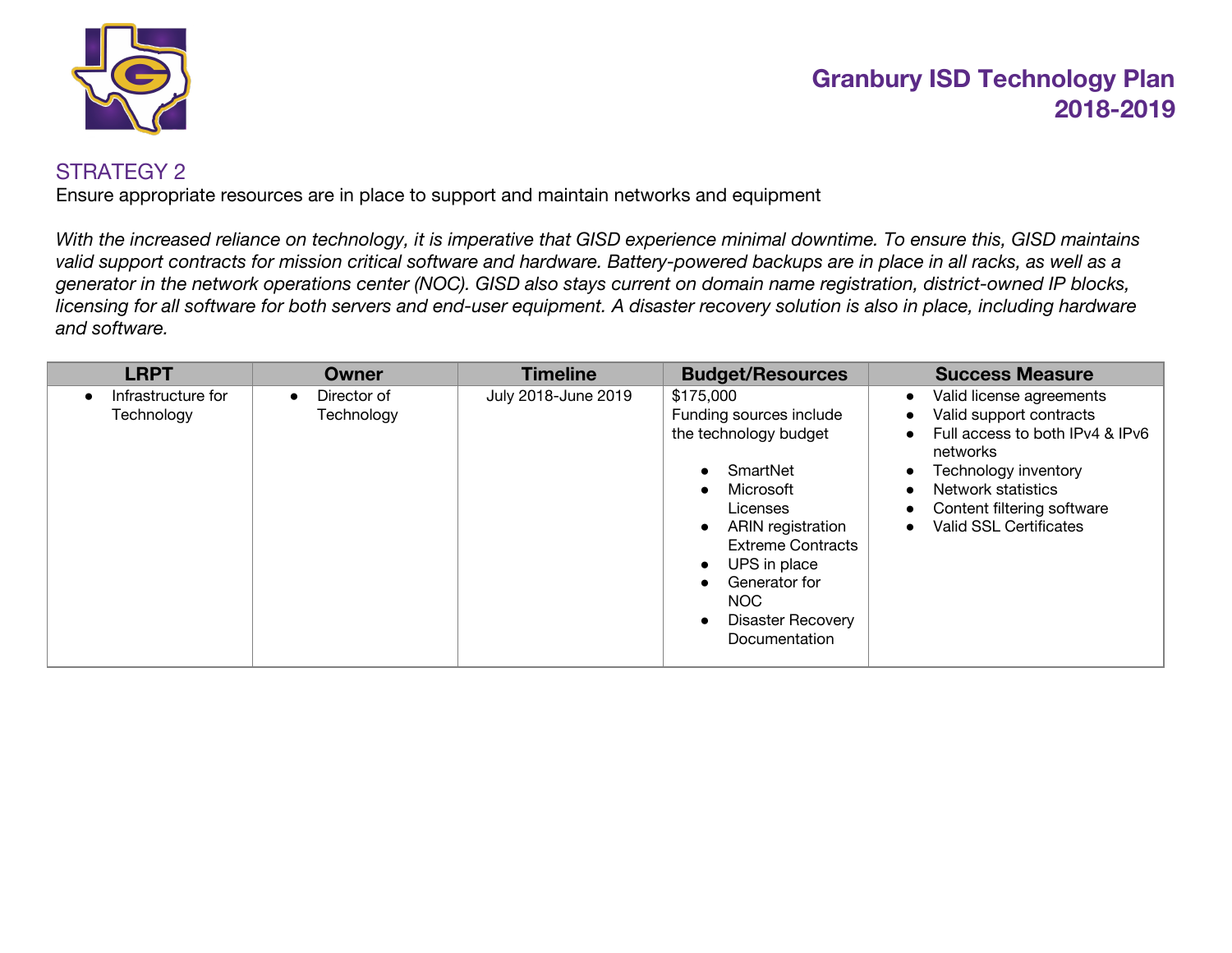

#### STRATEGY 2

Ensure appropriate resources are in place to support and maintain networks and equipment

With the increased reliance on technology, it is imperative that GISD experience minimal downtime. To ensure this, GISD maintains valid support contracts for mission critical software and hardware. Battery-powered backups are in place in all racks, as well as a generator in the network operations center (NOC). GISD also stays current on domain name registration, district-owned IP blocks, licensing for all software for both servers and end-user equipment. A disaster recovery solution is also in place, including hardware *and software.*

| <b>LRPT</b>                      | Owner                                  | <b>Timeline</b>     | <b>Budget/Resources</b>                                                                                                                                                                                                                                       | <b>Success Measure</b>                                                                                                                                                                                                                                                                                     |
|----------------------------------|----------------------------------------|---------------------|---------------------------------------------------------------------------------------------------------------------------------------------------------------------------------------------------------------------------------------------------------------|------------------------------------------------------------------------------------------------------------------------------------------------------------------------------------------------------------------------------------------------------------------------------------------------------------|
| Infrastructure for<br>Technology | Director of<br>$\bullet$<br>Technology | July 2018-June 2019 | \$175,000<br>Funding sources include<br>the technology budget<br>SmartNet<br>Microsoft<br><b>Licenses</b><br>ARIN registration<br><b>Extreme Contracts</b><br>UPS in place<br>$\bullet$<br>Generator for<br>NOC.<br><b>Disaster Recovery</b><br>Documentation | Valid license agreements<br>$\bullet$<br>Valid support contracts<br>$\bullet$<br>Full access to both IPv4 & IPv6<br>$\bullet$<br>networks<br>Technology inventory<br>$\bullet$<br>Network statistics<br>$\bullet$<br>Content filtering software<br>$\bullet$<br><b>Valid SSL Certificates</b><br>$\bullet$ |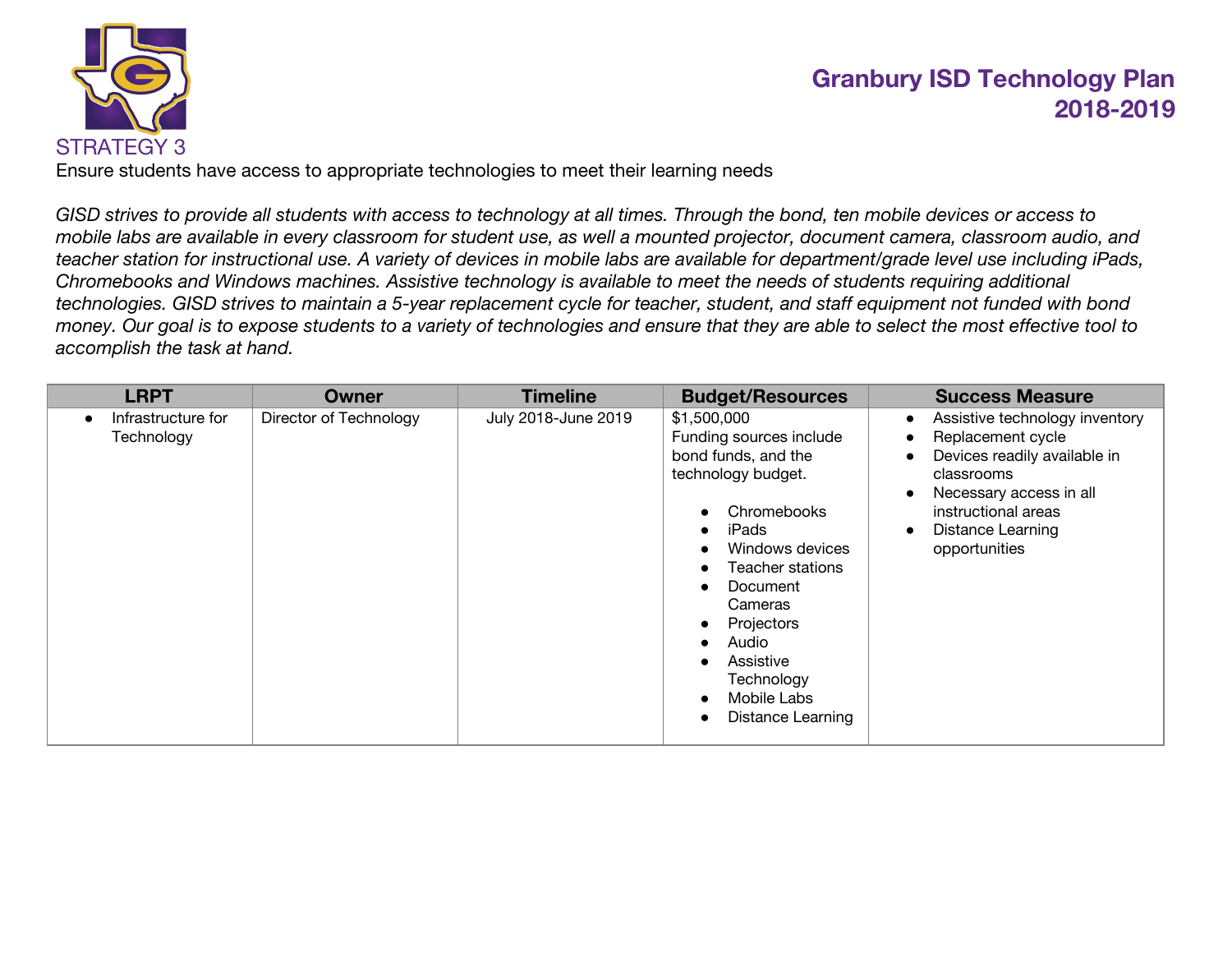

Ensure students have access to appropriate technologies to meet their learning needs

GISD strives to provide all students with access to technology at all times. Through the bond, ten mobile devices or access to mobile labs are available in every classroom for student use, as well a mounted projector, document camera, classroom audio, and teacher station for instructional use. A variety of devices in mobile labs are available for department/grade level use including iPads, Chromebooks and Windows machines. Assistive technology is available to meet the needs of students requiring additional technologies. GISD strives to maintain a 5-year replacement cycle for teacher, student, and staff equipment not funded with bond money. Our goal is to expose students to a variety of technologies and ensure that they are able to select the most effective tool to *accomplish the task at hand.*

| <b>LRPT</b>                      | Owner                  | <b>Timeline</b>     | <b>Budget/Resources</b>                                                                                                                                                                                                                                         | <b>Success Measure</b>                                                                                                                                                                                                                  |
|----------------------------------|------------------------|---------------------|-----------------------------------------------------------------------------------------------------------------------------------------------------------------------------------------------------------------------------------------------------------------|-----------------------------------------------------------------------------------------------------------------------------------------------------------------------------------------------------------------------------------------|
| Infrastructure for<br>Technology | Director of Technology | July 2018-June 2019 | \$1,500,000<br>Funding sources include<br>bond funds, and the<br>technology budget.<br>Chromebooks<br>iPads<br>Windows devices<br>Teacher stations<br>Document<br>Cameras<br>Projectors<br>Audio<br>Assistive<br>Technology<br>Mobile Labs<br>Distance Learning | Assistive technology inventory<br>$\bullet$<br>Replacement cycle<br>Devices readily available in<br>classrooms<br>Necessary access in all<br>$\bullet$<br>instructional areas<br><b>Distance Learning</b><br>$\bullet$<br>opportunities |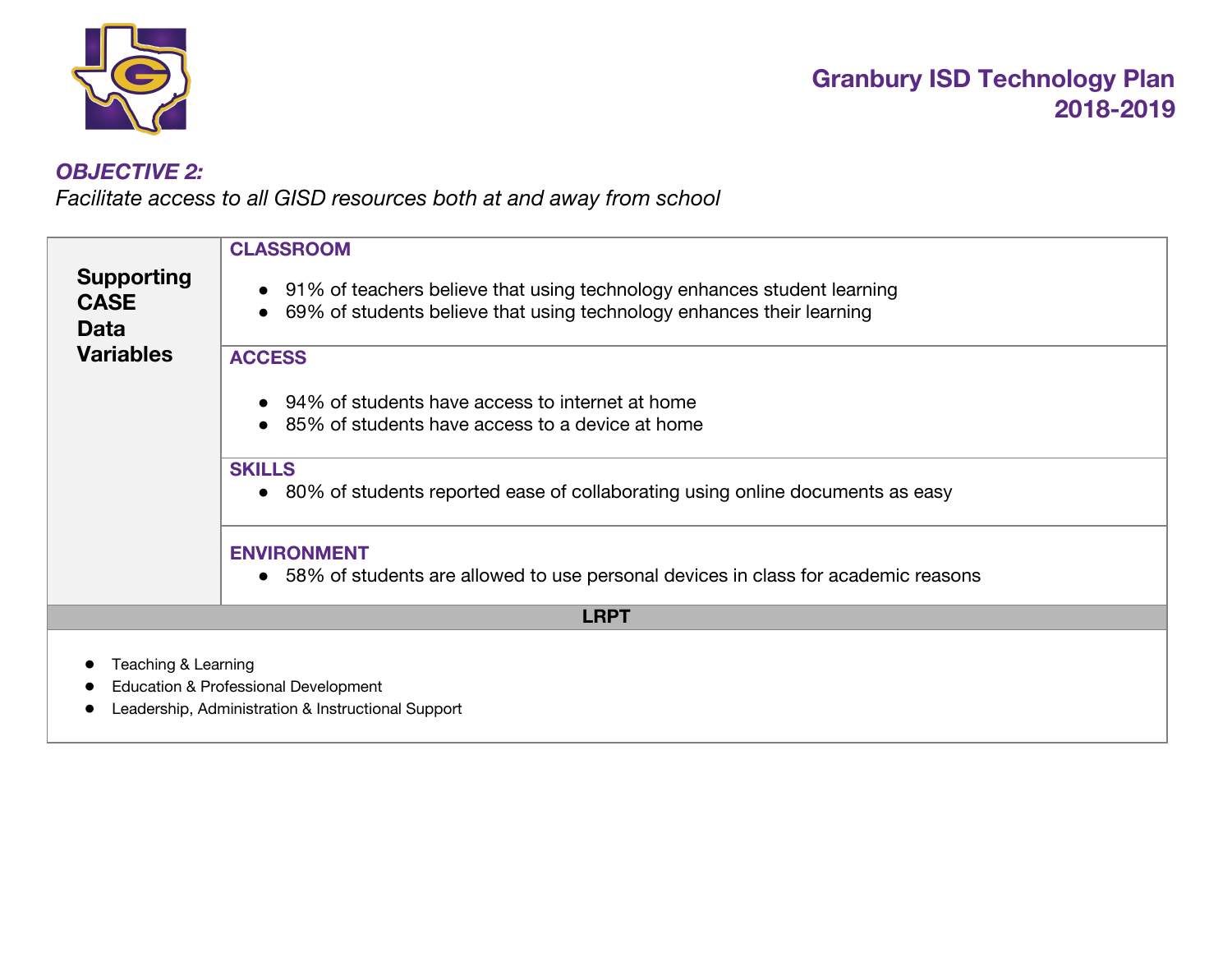

### *OBJECTIVE 2:*

*Facilitate access to all GISD resources both at and away from school*

| <b>Supporting</b><br><b>CASE</b><br><b>Data</b> | <b>CLASSROOM</b><br>• 91% of teachers believe that using technology enhances student learning<br>69% of students believe that using technology enhances their learning |
|-------------------------------------------------|------------------------------------------------------------------------------------------------------------------------------------------------------------------------|
| <b>Variables</b>                                | <b>ACCESS</b><br>94% of students have access to internet at home<br>85% of students have access to a device at home                                                    |
|                                                 | <b>SKILLS</b><br>• 80% of students reported ease of collaborating using online documents as easy                                                                       |
|                                                 | <b>ENVIRONMENT</b><br>• 58% of students are allowed to use personal devices in class for academic reasons                                                              |
|                                                 | <b>LRPT</b>                                                                                                                                                            |
| Teaching & Learning                             | Education & Professional Development<br>Leadership, Administration & Instructional Support                                                                             |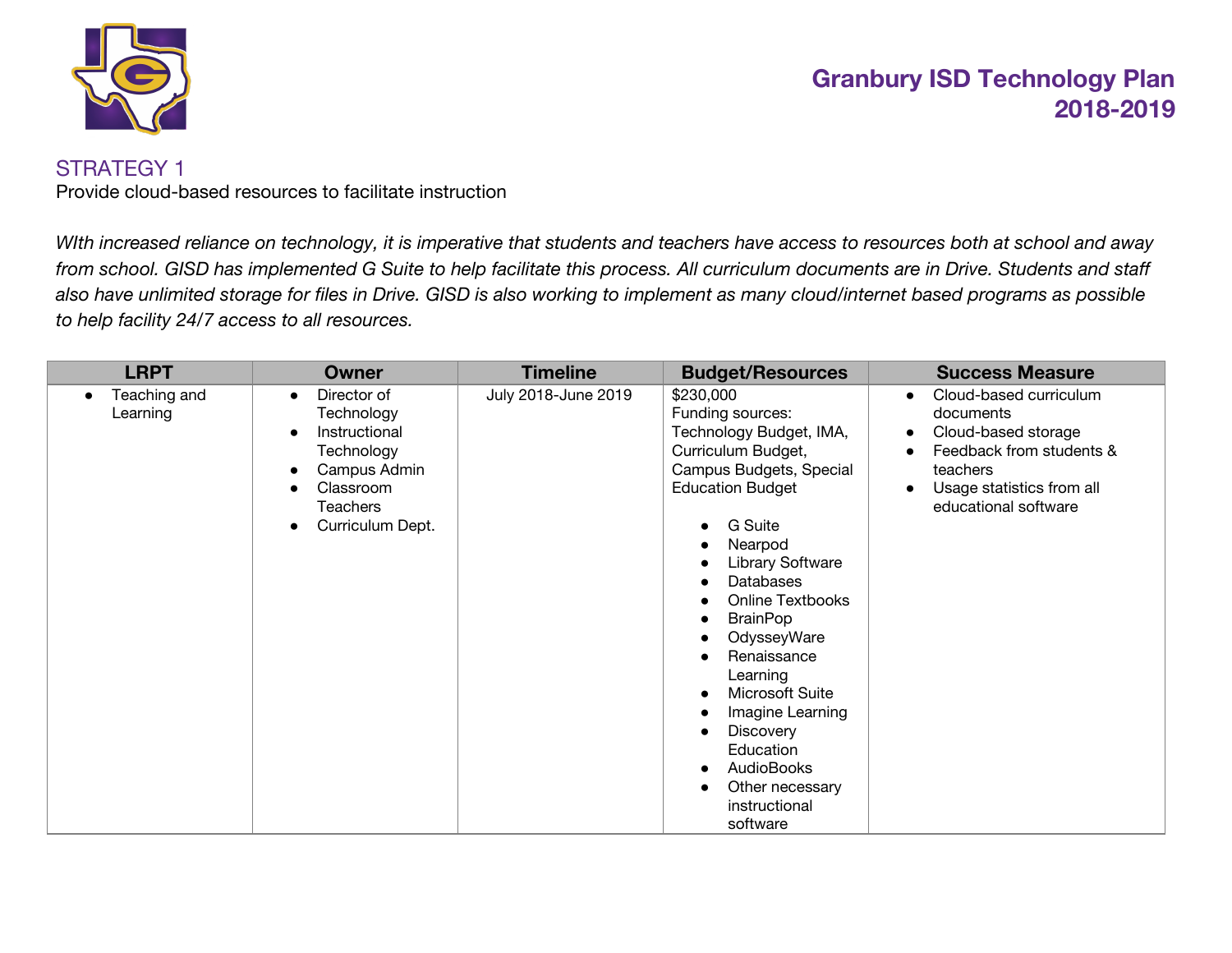

#### STRATEGY 1

Provide cloud-based resources to facilitate instruction

With increased reliance on technology, it is imperative that students and teachers have access to resources both at school and away from school. GISD has implemented G Suite to help facilitate this process. All curriculum documents are in Drive. Students and staff also have unlimited storage for files in Drive. GISD is also working to implement as many cloud/internet based programs as possible *to help facility 24/7 access to all resources.*

| <b>LRPT</b>              | <b>Owner</b>                                                                                                                                                 | <b>Timeline</b>     | <b>Budget/Resources</b>                                                                                                                                                                                                                                                                                                                                                                                                                                                                                         | <b>Success Measure</b>                                                                                                                                               |
|--------------------------|--------------------------------------------------------------------------------------------------------------------------------------------------------------|---------------------|-----------------------------------------------------------------------------------------------------------------------------------------------------------------------------------------------------------------------------------------------------------------------------------------------------------------------------------------------------------------------------------------------------------------------------------------------------------------------------------------------------------------|----------------------------------------------------------------------------------------------------------------------------------------------------------------------|
| Teaching and<br>Learning | Director of<br>$\bullet$<br>Technology<br>Instructional<br>$\bullet$<br>Technology<br>Campus Admin<br>$\bullet$<br>Classroom<br>Teachers<br>Curriculum Dept. | July 2018-June 2019 | \$230,000<br>Funding sources:<br>Technology Budget, IMA,<br>Curriculum Budget,<br>Campus Budgets, Special<br><b>Education Budget</b><br><b>G</b> Suite<br>$\bullet$<br>Nearpod<br>Library Software<br><b>Databases</b><br><b>Online Textbooks</b><br><b>BrainPop</b><br>$\bullet$<br>OdysseyWare<br>Renaissance<br>Learning<br>Microsoft Suite<br>$\bullet$<br>Imagine Learning<br><b>Discovery</b><br>$\bullet$<br>Education<br><b>AudioBooks</b><br>$\bullet$<br>Other necessary<br>instructional<br>software | Cloud-based curriculum<br>$\bullet$<br>documents<br>Cloud-based storage<br>Feedback from students &<br>teachers<br>Usage statistics from all<br>educational software |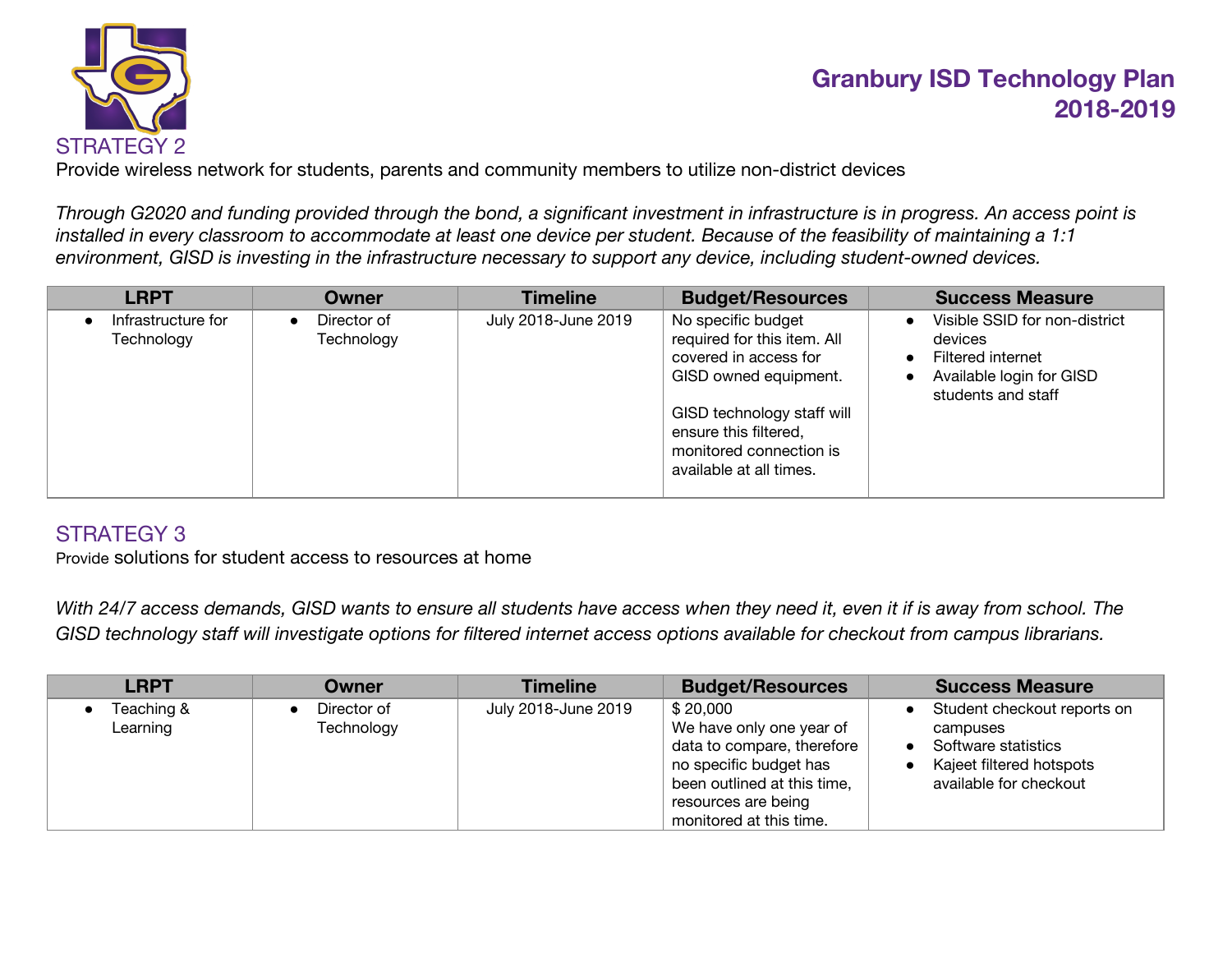

Provide wireless network for students, parents and community members to utilize non-district devices

Through G2020 and funding provided through the bond, a significant investment in infrastructure is in progress. An access point is installed in every classroom to accommodate at least one device per student. Because of the feasibility of maintaining a 1:1 *environment, GISD is investing in the infrastructure necessary to support any device, including student-owned devices.*

| <b>LRPT</b>                      | Owner                                  | <b>Timeline</b>     | <b>Budget/Resources</b>                                                                                                                                                                                          | <b>Success Measure</b>                                                                                                                                 |
|----------------------------------|----------------------------------------|---------------------|------------------------------------------------------------------------------------------------------------------------------------------------------------------------------------------------------------------|--------------------------------------------------------------------------------------------------------------------------------------------------------|
| Infrastructure for<br>Technology | Director of<br>$\bullet$<br>Technology | July 2018-June 2019 | No specific budget<br>required for this item. All<br>covered in access for<br>GISD owned equipment.<br>GISD technology staff will<br>ensure this filtered,<br>monitored connection is<br>available at all times. | Visible SSID for non-district<br>$\bullet$<br>devices<br>Filtered internet<br>$\bullet$<br>Available login for GISD<br>$\bullet$<br>students and staff |

### STRATEGY 3

Provide solutions for student access to resources at home

With 24/7 access demands, GISD wants to ensure all students have access when they need it, even it if is away from school. The GISD technology staff will investigate options for filtered internet access options available for checkout from campus librarians.

| <b>LRPT</b>            | Owner                     | <b>Timeline</b>     | <b>Budget/Resources</b>                                                                                                                                                       | <b>Success Measure</b>                                                                                               |
|------------------------|---------------------------|---------------------|-------------------------------------------------------------------------------------------------------------------------------------------------------------------------------|----------------------------------------------------------------------------------------------------------------------|
| Teaching &<br>Learning | Director of<br>Technology | July 2018-June 2019 | \$20,000<br>We have only one year of<br>data to compare, therefore<br>no specific budget has<br>been outlined at this time,<br>resources are being<br>monitored at this time. | Student checkout reports on<br>campuses<br>Software statistics<br>Kajeet filtered hotspots<br>available for checkout |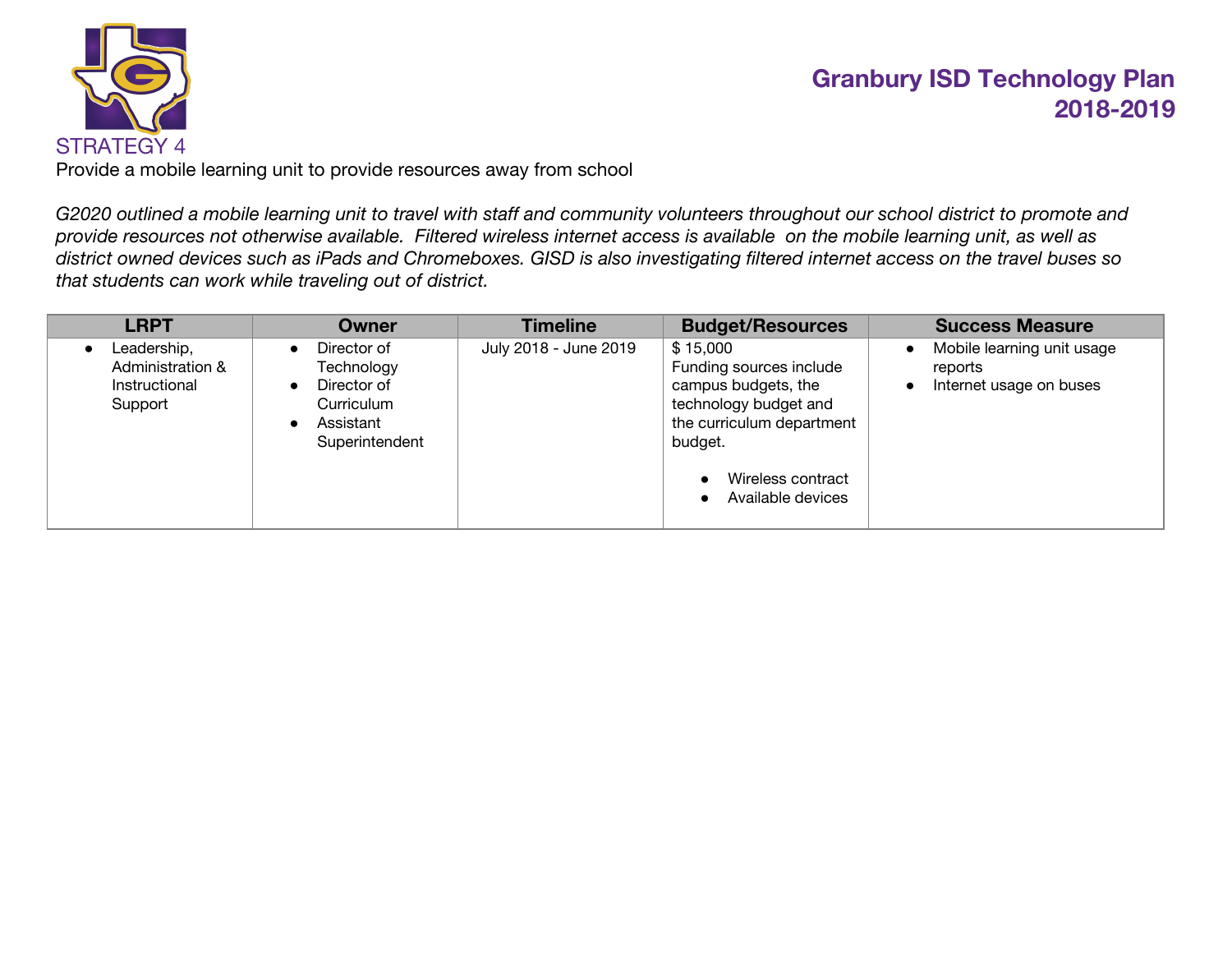

Provide a mobile learning unit to provide resources away from school

G2020 outlined a mobile learning unit to travel with staff and community volunteers throughout our school district to promote and provide resources not otherwise available. Filtered wireless internet access is available on the mobile learning unit, as well as district owned devices such as iPads and Chromeboxes. GISD is also investigating filtered internet access on the travel buses so *that students can work while traveling out of district.*

| <b>LRPT</b>                                                 | <b>Owner</b>                                                                                                                 | <b>Timeline</b>       | <b>Budget/Resources</b>                                                                                                                                               | <b>Success Measure</b>                                           |
|-------------------------------------------------------------|------------------------------------------------------------------------------------------------------------------------------|-----------------------|-----------------------------------------------------------------------------------------------------------------------------------------------------------------------|------------------------------------------------------------------|
| Leadership,<br>Administration &<br>Instructional<br>Support | Director of<br>$\bullet$<br>Technology<br>Director of<br>$\bullet$<br>Curriculum<br>Assistant<br>$\bullet$<br>Superintendent | July 2018 - June 2019 | \$15,000<br>Funding sources include<br>campus budgets, the<br>technology budget and<br>the curriculum department<br>budget.<br>Wireless contract<br>Available devices | Mobile learning unit usage<br>reports<br>Internet usage on buses |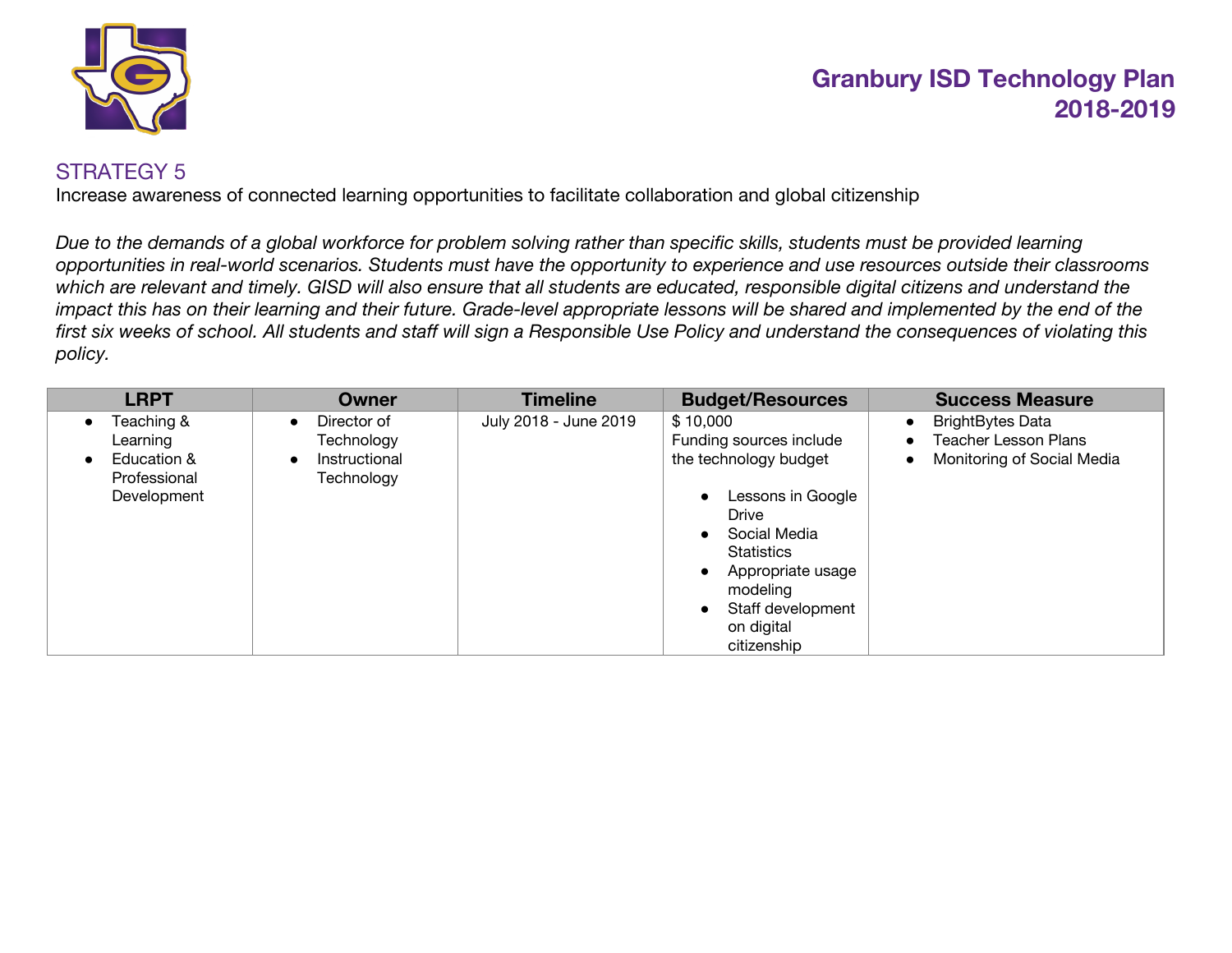

#### STRATEGY 5

Increase awareness of connected learning opportunities to facilitate collaboration and global citizenship

Due to the demands of a global workforce for problem solving rather than specific skills, students must be provided learning opportunities in real-world scenarios. Students must have the opportunity to experience and use resources outside their classrooms which are relevant and timely. GISD will also ensure that all students are educated, responsible digital citizens and understand the impact this has on their learning and their future. Grade-level appropriate lessons will be shared and implemented by the end of the first six weeks of school. All students and staff will sign a Responsible Use Policy and understand the consequences of violating this *policy.*

| <b>LRPT</b>                                                          | <b>Owner</b>                                                                       | <b>Timeline</b>       | <b>Budget/Resources</b>                                                                                                                                                                                            | <b>Success Measure</b>                                                                                         |
|----------------------------------------------------------------------|------------------------------------------------------------------------------------|-----------------------|--------------------------------------------------------------------------------------------------------------------------------------------------------------------------------------------------------------------|----------------------------------------------------------------------------------------------------------------|
| Teaching &<br>Learning<br>Education &<br>Professional<br>Development | Director of<br>$\bullet$<br>Technology<br>Instructional<br>$\bullet$<br>Technology | July 2018 - June 2019 | \$10,000<br>Funding sources include<br>the technology budget<br>Lessons in Google<br>Drive<br>Social Media<br><b>Statistics</b><br>Appropriate usage<br>modeling<br>Staff development<br>on digital<br>citizenship | <b>BrightBytes Data</b><br>$\bullet$<br><b>Teacher Lesson Plans</b><br>Monitoring of Social Media<br>$\bullet$ |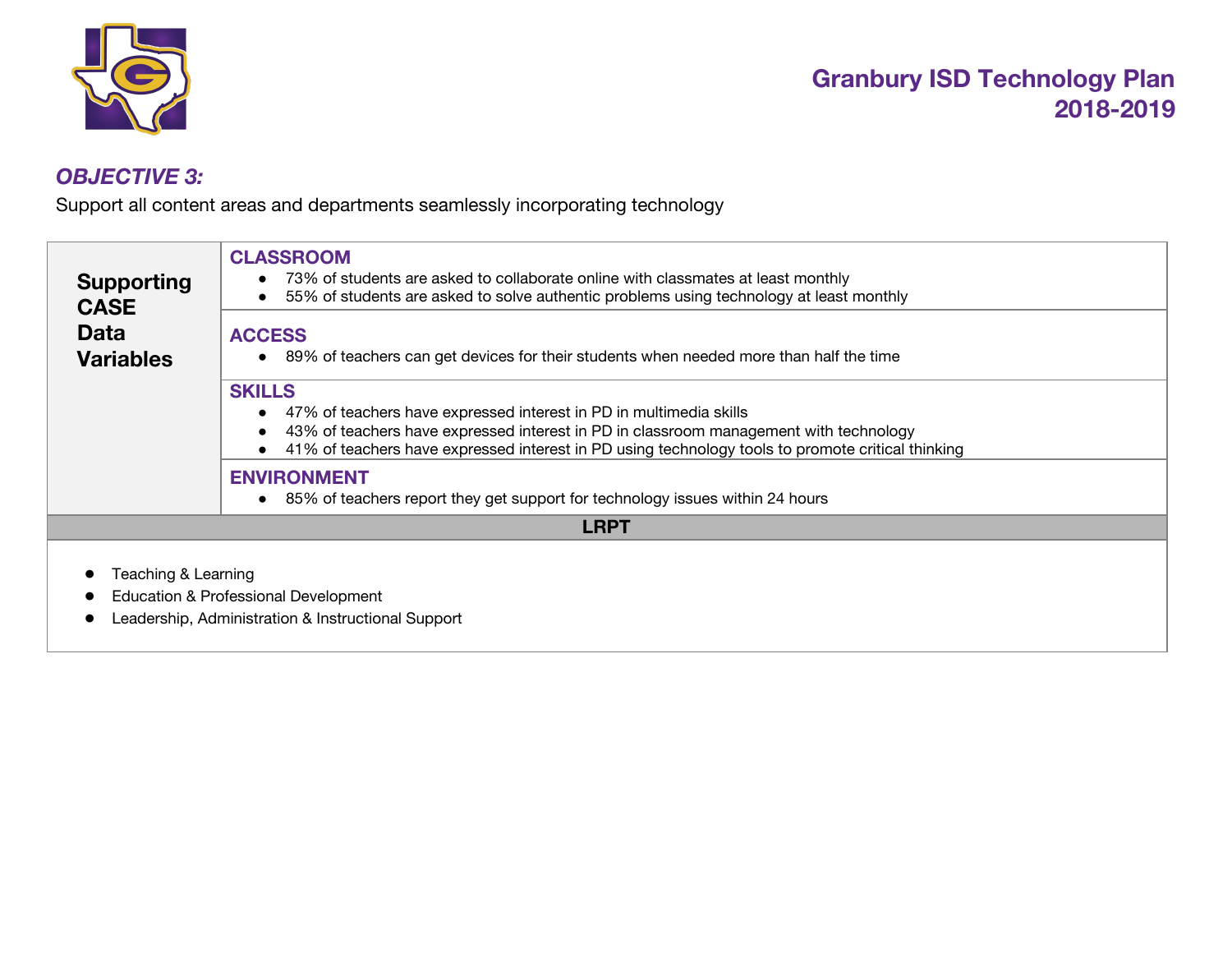

### *OBJECTIVE 3:*

Support all content areas and departments seamlessly incorporating technology

| <b>Supporting</b><br><b>CASE</b> | <b>CLASSROOM</b><br>73% of students are asked to collaborate online with classmates at least monthly<br>55% of students are asked to solve authentic problems using technology at least monthly                                                                                   |  |  |  |
|----------------------------------|-----------------------------------------------------------------------------------------------------------------------------------------------------------------------------------------------------------------------------------------------------------------------------------|--|--|--|
| <b>Data</b><br><b>Variables</b>  | <b>ACCESS</b><br>89% of teachers can get devices for their students when needed more than half the time                                                                                                                                                                           |  |  |  |
|                                  | <b>SKILLS</b><br>47% of teachers have expressed interest in PD in multimedia skills<br>43% of teachers have expressed interest in PD in classroom management with technology<br>41% of teachers have expressed interest in PD using technology tools to promote critical thinking |  |  |  |
|                                  | <b>ENVIRONMENT</b><br>85% of teachers report they get support for technology issues within 24 hours                                                                                                                                                                               |  |  |  |
|                                  | <b>LRPT</b>                                                                                                                                                                                                                                                                       |  |  |  |
| Teaching & Learning              | Education & Professional Development<br>Leadership, Administration & Instructional Support                                                                                                                                                                                        |  |  |  |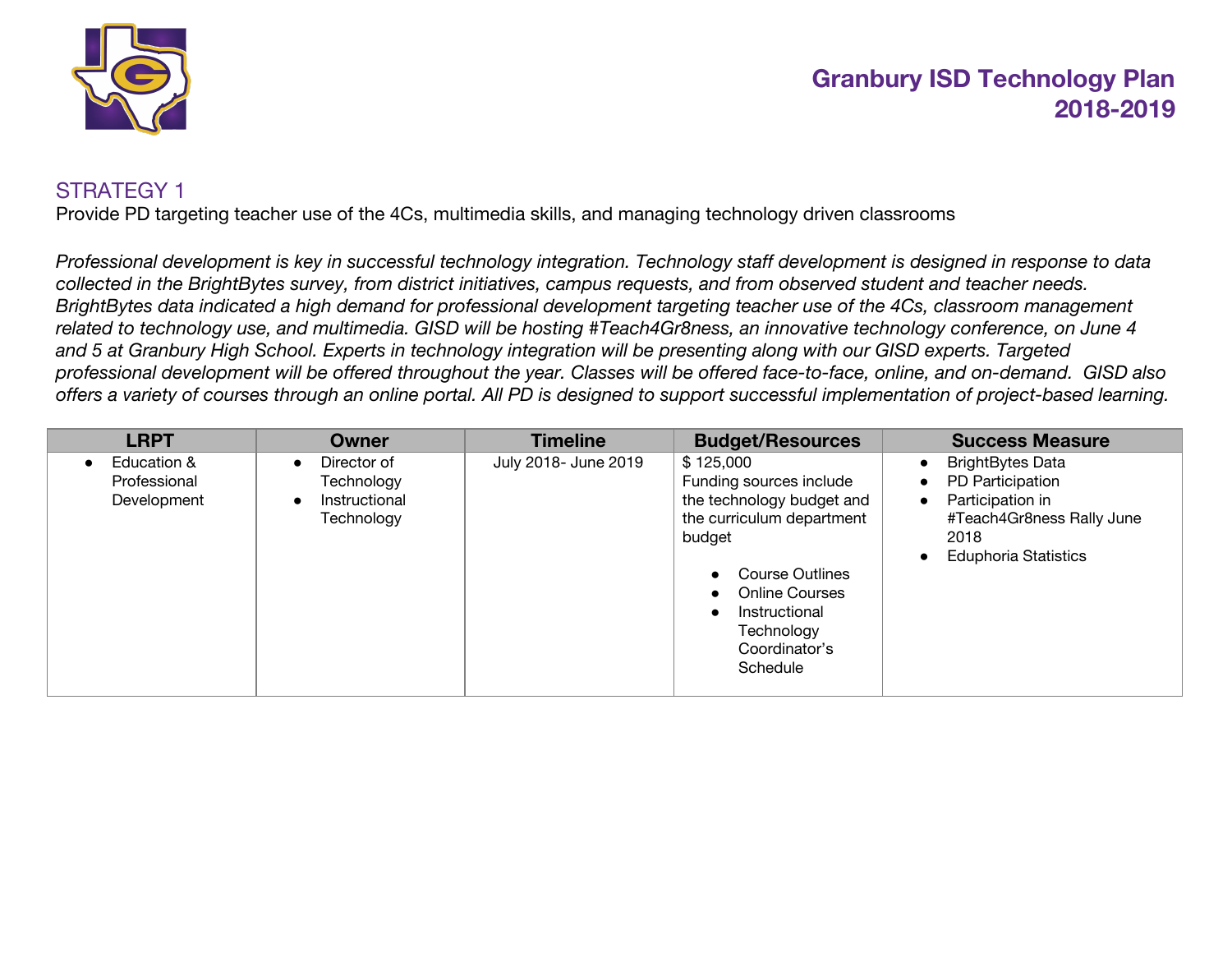

#### STRATEGY 1

Provide PD targeting teacher use of the 4Cs, multimedia skills, and managing technology driven classrooms

Professional development is key in successful technology integration. Technology staff development is designed in response to data collected in the BrightBytes survey, from district initiatives, campus requests, and from observed student and teacher needs. BrightBytes data indicated a high demand for professional development targeting teacher use of the 4Cs, classroom management related to technology use, and multimedia. GISD will be hosting #Teach4Gr8ness, an innovative technology conference, on June 4 and 5 at Granbury High School. Experts in technology integration will be presenting along with our GISD experts. Targeted professional development will be offered throughout the year. Classes will be offered face-to-face, online, and on-demand. GISD also offers a variety of courses through an online portal. All PD is designed to support successful implementation of project-based learning.

| <b>LRPT</b>                                | <b>Owner</b>                                                                       | <b>Timeline</b>      | <b>Budget/Resources</b>                                                                                                                                                                                          | <b>Success Measure</b>                                                                                                                                        |
|--------------------------------------------|------------------------------------------------------------------------------------|----------------------|------------------------------------------------------------------------------------------------------------------------------------------------------------------------------------------------------------------|---------------------------------------------------------------------------------------------------------------------------------------------------------------|
| Education &<br>Professional<br>Development | Director of<br>$\bullet$<br>Technology<br>Instructional<br>$\bullet$<br>Technology | July 2018- June 2019 | \$125,000<br>Funding sources include<br>the technology budget and<br>the curriculum department<br>budget<br>Course Outlines<br><b>Online Courses</b><br>Instructional<br>Technology<br>Coordinator's<br>Schedule | <b>BrightBytes Data</b><br>PD Participation<br>$\bullet$<br>Participation in<br>$\bullet$<br>#Teach4Gr8ness Rally June<br>2018<br><b>Eduphoria Statistics</b> |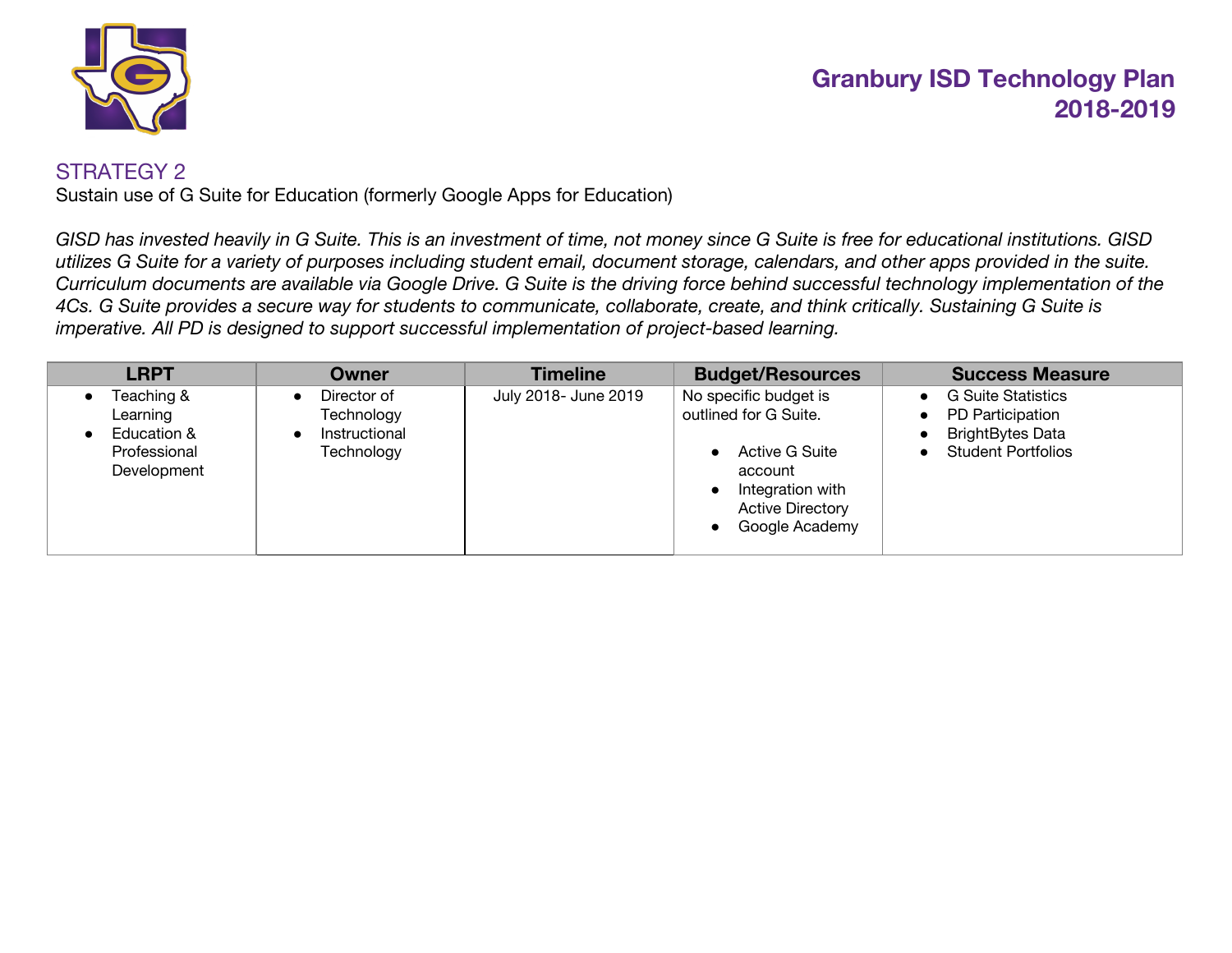

#### STRATEGY 2

Sustain use of G Suite for Education (formerly Google Apps for Education)

GISD has invested heavily in G Suite. This is an investment of time, not money since G Suite is free for educational institutions. GISD utilizes G Suite for a variety of purposes including student email, document storage, calendars, and other apps provided in the suite. Curriculum documents are available via Google Drive. G Suite is the driving force behind successful technology implementation of the 4Cs. G Suite provides a secure way for students to communicate, collaborate, create, and think critically. Sustaining G Suite is *imperative. All PD is designed to support successful implementation of project-based learning.*

| <b>LRPT</b>                                                          | Owner                                                    | <b>Timeline</b>      | <b>Budget/Resources</b>                                                                                                                             | <b>Success Measure</b>                                                                                             |
|----------------------------------------------------------------------|----------------------------------------------------------|----------------------|-----------------------------------------------------------------------------------------------------------------------------------------------------|--------------------------------------------------------------------------------------------------------------------|
| Teaching &<br>Learning<br>Education &<br>Professional<br>Development | Director of<br>Technology<br>Instructional<br>Technology | July 2018- June 2019 | No specific budget is<br>outlined for G Suite.<br><b>Active G Suite</b><br>account<br>Integration with<br><b>Active Directory</b><br>Google Academy | <b>G Suite Statistics</b><br>PD Participation<br><b>BrightBytes Data</b><br><b>Student Portfolios</b><br>$\bullet$ |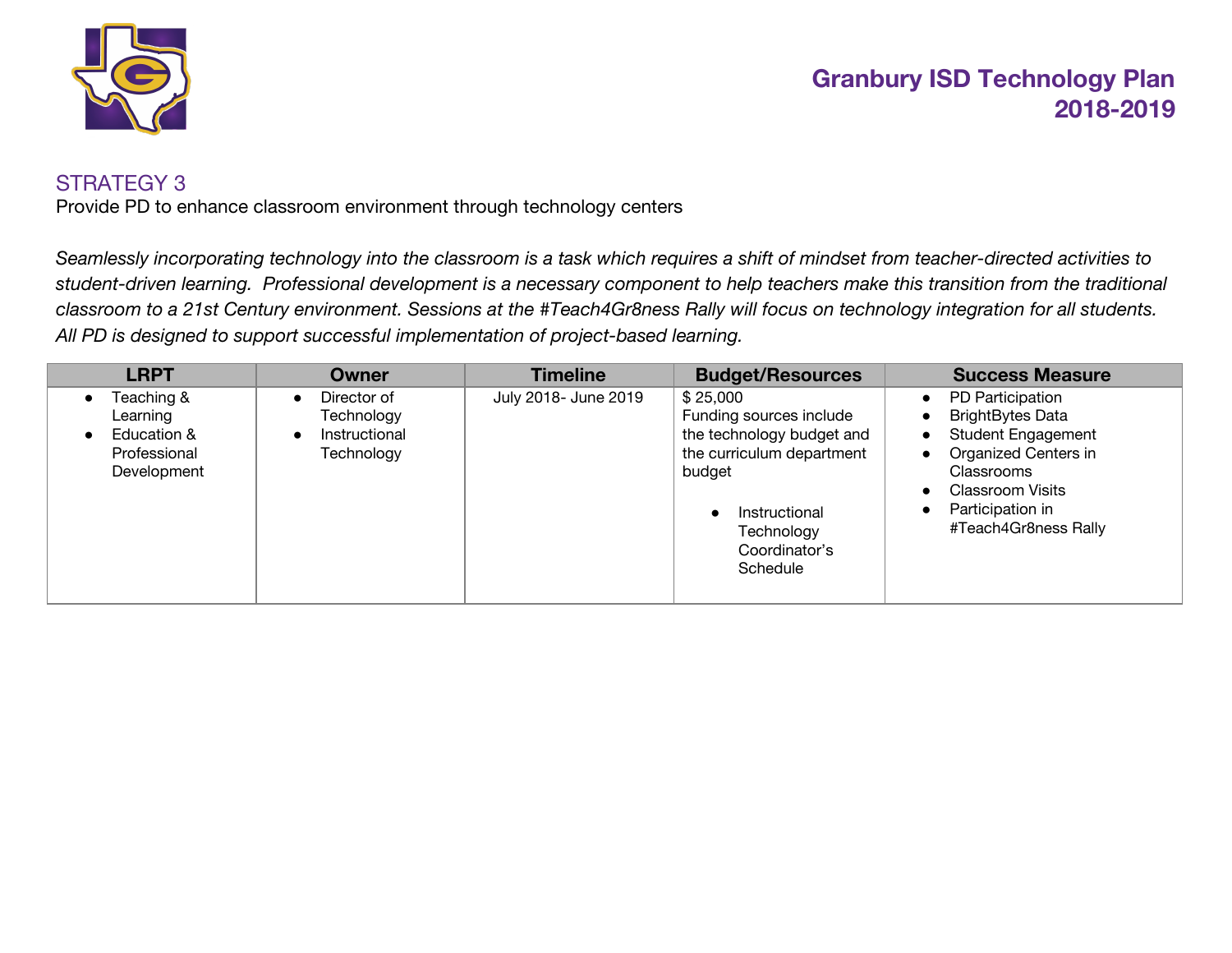

#### STRATEGY 3

Provide PD to enhance classroom environment through technology centers

Seamlessly incorporating technology into the classroom is a task which requires a shift of mindset from teacher-directed activities to student-driven learning. Professional development is a necessary component to help teachers make this transition from the traditional classroom to a 21st Century environment. Sessions at the #Teach4Gr8ness Rally will focus on technology integration for all students. *All PD is designed to support successful implementation of project-based learning.*

| <b>LRPT</b>                                                          | Owner                                                    | <b>Timeline</b>      | <b>Budget/Resources</b>                                                                                                                                             | <b>Success Measure</b>                                                                                                                                                                                          |
|----------------------------------------------------------------------|----------------------------------------------------------|----------------------|---------------------------------------------------------------------------------------------------------------------------------------------------------------------|-----------------------------------------------------------------------------------------------------------------------------------------------------------------------------------------------------------------|
| Teaching &<br>Learning<br>Education &<br>Professional<br>Development | Director of<br>Technology<br>Instructional<br>Technology | July 2018- June 2019 | \$25,000<br>Funding sources include<br>the technology budget and<br>the curriculum department<br>budget<br>Instructional<br>Technology<br>Coordinator's<br>Schedule | PD Participation<br>$\bullet$<br><b>BrightBytes Data</b><br><b>Student Engagement</b><br>Organized Centers in<br>$\bullet$<br>Classrooms<br><b>Classroom Visits</b><br>Participation in<br>#Teach4Gr8ness Rally |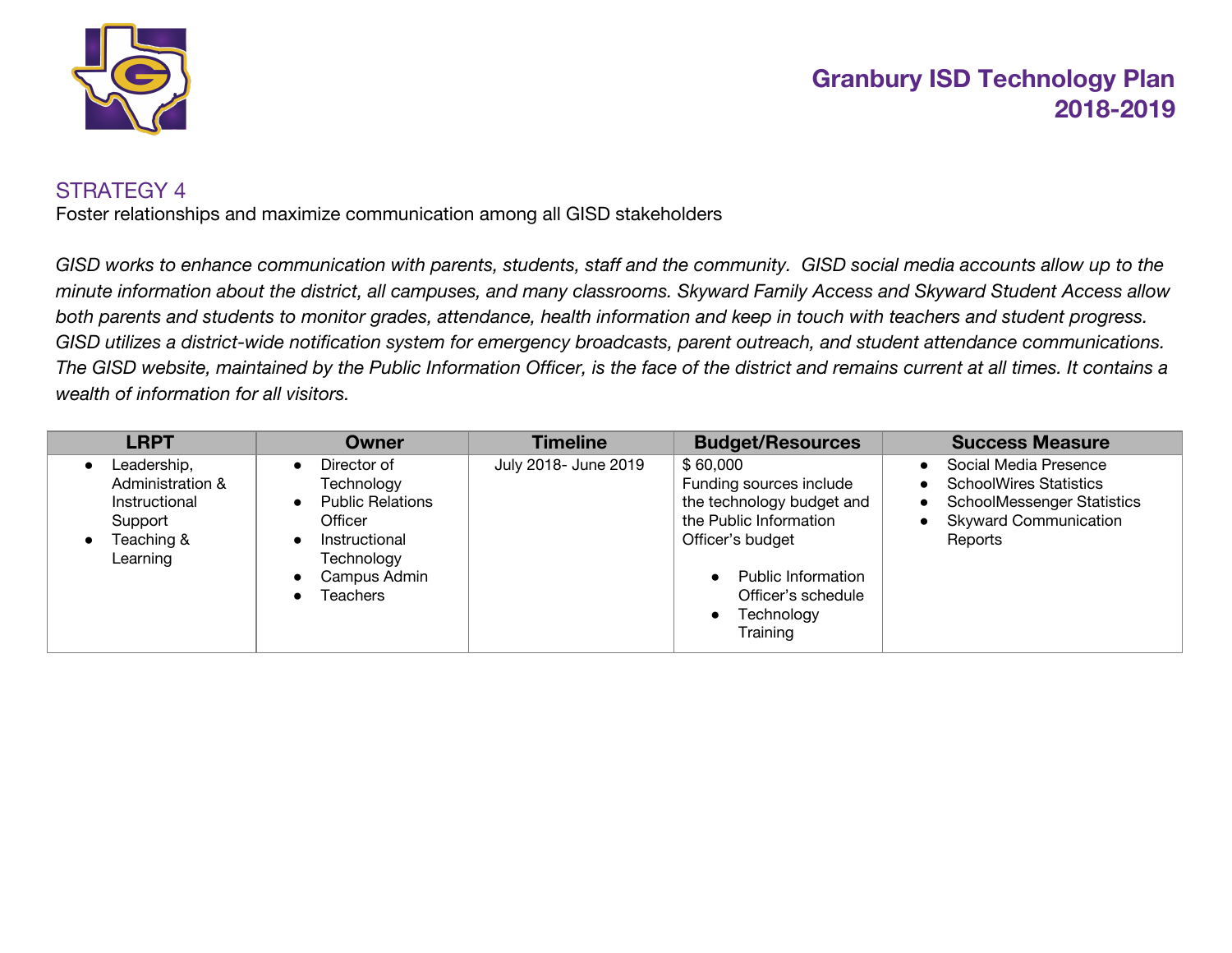

#### STRATEGY 4

Foster relationships and maximize communication among all GISD stakeholders

GISD works to enhance communication with parents, students, staff and the community. GISD social media accounts allow up to the minute information about the district, all campuses, and many classrooms. Skyward Family Access and Skyward Student Access allow both parents and students to monitor grades, attendance, health information and keep in touch with teachers and student progress. GISD utilizes a district-wide notification system for emergency broadcasts, parent outreach, and student attendance communications. The GISD website, maintained by the Public Information Officer, is the face of the district and remains current at all times. It contains a *wealth of information for all visitors.*

| <b>LRPT</b>                                                                                                     | Owner                                                                                                                                                       | <b>Timeline</b>      | <b>Budget/Resources</b>                                                                                                                                                                     | <b>Success Measure</b>                                                                                                                                                        |
|-----------------------------------------------------------------------------------------------------------------|-------------------------------------------------------------------------------------------------------------------------------------------------------------|----------------------|---------------------------------------------------------------------------------------------------------------------------------------------------------------------------------------------|-------------------------------------------------------------------------------------------------------------------------------------------------------------------------------|
| Leadership,<br>$\bullet$<br>Administration &<br>Instructional<br>Support<br>Teaching &<br>$\bullet$<br>Learning | Director of<br>$\bullet$<br>Technology<br><b>Public Relations</b><br>$\bullet$<br>Officer<br>Instructional<br>Technology<br>Campus Admin<br><b>Teachers</b> | July 2018- June 2019 | \$60,000<br>Funding sources include<br>the technology budget and<br>the Public Information<br>Officer's budget<br><b>Public Information</b><br>Officer's schedule<br>Technology<br>Training | Social Media Presence<br><b>SchoolWires Statistics</b><br>$\bullet$<br><b>SchoolMessenger Statistics</b><br>$\bullet$<br><b>Skyward Communication</b><br>$\bullet$<br>Reports |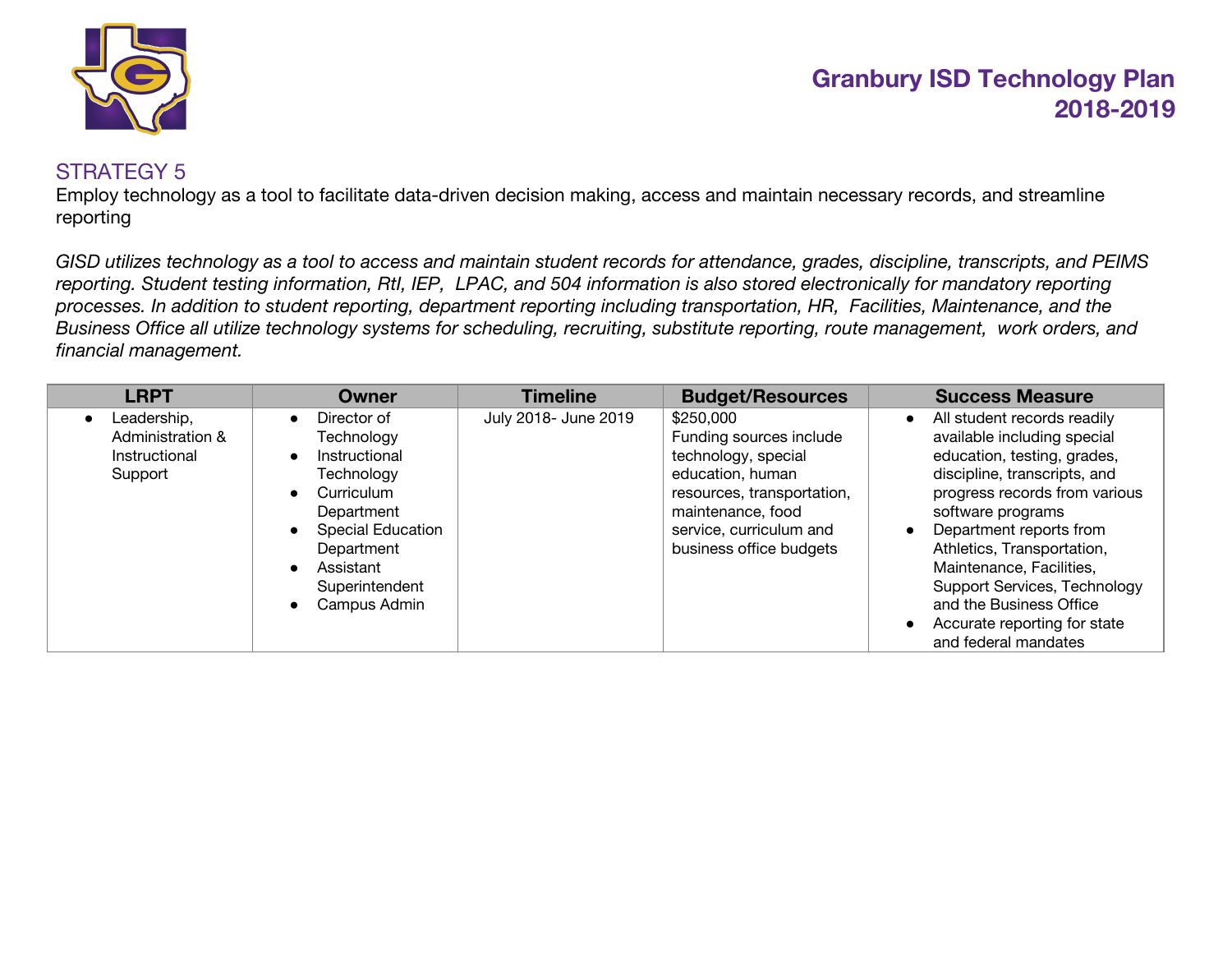

#### STRATEGY 5

Employ technology as a tool to facilitate data-driven decision making, access and maintain necessary records, and streamline reporting

GISD utilizes technology as a tool to access and maintain student records for attendance, grades, discipline, transcripts, and PEIMS reporting. Student testing information, Rtl, IEP, LPAC, and 504 information is also stored electronically for mandatory reporting processes. In addition to student reporting, department reporting including transportation, HR, Facilities, Maintenance, and the Business Office all utilize technology systems for scheduling, recruiting, substitute reporting, route management, work orders, and *financial management.*

| <b>LRPT</b>                                                              | Owner                                                                                                                                                                         | <b>Timeline</b>      | <b>Budget/Resources</b>                                                                                                                                                                  | <b>Success Measure</b>                                                                                                                                                                                                                                                                                                                                                                                                         |
|--------------------------------------------------------------------------|-------------------------------------------------------------------------------------------------------------------------------------------------------------------------------|----------------------|------------------------------------------------------------------------------------------------------------------------------------------------------------------------------------------|--------------------------------------------------------------------------------------------------------------------------------------------------------------------------------------------------------------------------------------------------------------------------------------------------------------------------------------------------------------------------------------------------------------------------------|
| Leadership,<br>$\bullet$<br>Administration &<br>Instructional<br>Support | Director of<br>Technology<br>Instructional<br>Technology<br>Curriculum<br>Department<br><b>Special Education</b><br>Department<br>Assistant<br>Superintendent<br>Campus Admin | July 2018- June 2019 | \$250,000<br>Funding sources include<br>technology, special<br>education, human<br>resources, transportation,<br>maintenance, food<br>service, curriculum and<br>business office budgets | All student records readily<br>$\bullet$<br>available including special<br>education, testing, grades,<br>discipline, transcripts, and<br>progress records from various<br>software programs<br>Department reports from<br>$\bullet$<br>Athletics, Transportation,<br>Maintenance, Facilities,<br>Support Services, Technology<br>and the Business Office<br>Accurate reporting for state<br>$\bullet$<br>and federal mandates |